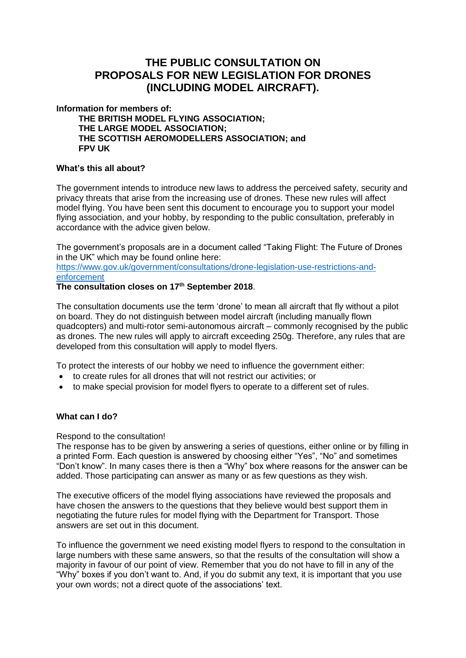# **THE PUBLIC CONSULTATION ON PROPOSALS FOR NEW LEGISLATION FOR DRONES (INCLUDING MODEL AIRCRAFT).**

**Information for members of:**

**THE BRITISH MODEL FLYING ASSOCIATION; THE LARGE MODEL ASSOCIATION; THE SCOTTISH AEROMODELLERS ASSOCIATION; and FPV UK**

### **What's this all about?**

The government intends to introduce new laws to address the perceived safety, security and privacy threats that arise from the increasing use of drones. These new rules will affect model flying. You have been sent this document to encourage you to support your model flying association, and your hobby, by responding to the public consultation, preferably in accordance with the advice given below.

The government's proposals are in a document called "Taking Flight: The Future of Drones in the UK" which may be found online here:

[https://www.gov.uk/government/consultations/drone-legislation-use-restrictions-and](https://www.gov.uk/government/consultations/drone-legislation-use-restrictions-and-enforcement)[enforcement](https://www.gov.uk/government/consultations/drone-legislation-use-restrictions-and-enforcement)

# **The consultation closes on 17th September 2018**.

The consultation documents use the term 'drone' to mean all aircraft that fly without a pilot on board. They do not distinguish between model aircraft (including manually flown quadcopters) and multi-rotor semi-autonomous aircraft – commonly recognised by the public as drones. The new rules will apply to aircraft exceeding 250g. Therefore, any rules that are developed from this consultation will apply to model flyers.

To protect the interests of our hobby we need to influence the government either:

- to create rules for all drones that will not restrict our activities; or
- to make special provision for model flyers to operate to a different set of rules.

# **What can I do?**

#### Respond to the consultation!

The response has to be given by answering a series of questions, either online or by filling in a printed Form. Each question is answered by choosing either "Yes", "No" and sometimes "Don't know". In many cases there is then a "Why" box where reasons for the answer can be added. Those participating can answer as many or as few questions as they wish.

The executive officers of the model flying associations have reviewed the proposals and have chosen the answers to the questions that they believe would best support them in negotiating the future rules for model flying with the Department for Transport. Those answers are set out in this document.

To influence the government we need existing model flyers to respond to the consultation in large numbers with these same answers, so that the results of the consultation will show a majority in favour of our point of view. Remember that you do not have to fill in any of the "Why" boxes if you don't want to. And, if you do submit any text, it is important that you use your own words; not a direct quote of the associations' text.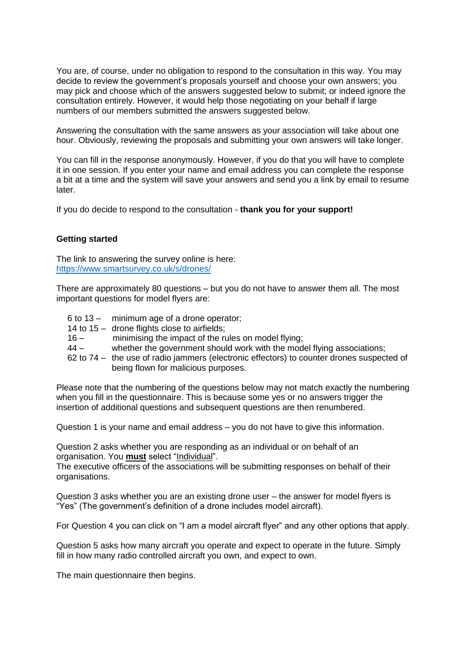You are, of course, under no obligation to respond to the consultation in this way. You may decide to review the government's proposals yourself and choose your own answers; you may pick and choose which of the answers suggested below to submit; or indeed ignore the consultation entirely. However, it would help those negotiating on your behalf if large numbers of our members submitted the answers suggested below.

Answering the consultation with the same answers as your association will take about one hour. Obviously, reviewing the proposals and submitting your own answers will take longer.

You can fill in the response anonymously. However, if you do that you will have to complete it in one session. If you enter your name and email address you can complete the response a bit at a time and the system will save your answers and send you a link by email to resume later.

If you do decide to respond to the consultation - **thank you for your support!**

### **Getting started**

The link to answering the survey online is here: <https://www.smartsurvey.co.uk/s/drones/>

There are approximately 80 questions – but you do not have to answer them all. The most important questions for model flyers are:

- 6 to 13 minimum age of a drone operator;
- 14 to 15 drone flights close to airfields;
- 16 minimising the impact of the rules on model flying;
- 44 whether the government should work with the model flying associations;
- 62 to 74 the use of radio jammers (electronic effectors) to counter drones suspected of being flown for malicious purposes.

Please note that the numbering of the questions below may not match exactly the numbering when you fill in the questionnaire. This is because some yes or no answers trigger the insertion of additional questions and subsequent questions are then renumbered.

Question 1 is your name and email address – you do not have to give this information.

Question 2 asks whether you are responding as an individual or on behalf of an organisation. You **must** select "Individual".

The executive officers of the associations will be submitting responses on behalf of their organisations.

Question 3 asks whether you are an existing drone user – the answer for model flyers is "Yes" (The government's definition of a drone includes model aircraft).

For Question 4 you can click on "I am a model aircraft flyer" and any other options that apply.

Question 5 asks how many aircraft you operate and expect to operate in the future. Simply fill in how many radio controlled aircraft you own, and expect to own.

The main questionnaire then begins.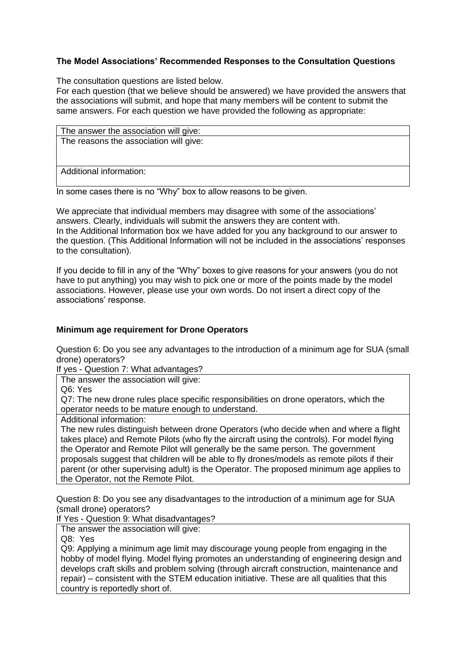## **The Model Associations' Recommended Responses to the Consultation Questions**

The consultation questions are listed below.

For each question (that we believe should be answered) we have provided the answers that the associations will submit, and hope that many members will be content to submit the same answers. For each question we have provided the following as appropriate:

| The answer the association will give:  |  |
|----------------------------------------|--|
| The reasons the association will give: |  |
|                                        |  |
|                                        |  |
| Additional information:                |  |

In some cases there is no "Why" box to allow reasons to be given.

We appreciate that individual members may disagree with some of the associations' answers. Clearly, individuals will submit the answers they are content with. In the Additional Information box we have added for you any background to our answer to the question. (This Additional Information will not be included in the associations' responses to the consultation).

If you decide to fill in any of the "Why" boxes to give reasons for your answers (you do not have to put anything) you may wish to pick one or more of the points made by the model associations. However, please use your own words. Do not insert a direct copy of the associations' response.

### **Minimum age requirement for Drone Operators**

Question 6: Do you see any advantages to the introduction of a minimum age for SUA (small drone) operators?

If yes - Question 7: What advantages?

The answer the association will give:

Q6: Yes

Q7: The new drone rules place specific responsibilities on drone operators, which the operator needs to be mature enough to understand.

Additional information:

The new rules distinguish between drone Operators (who decide when and where a flight takes place) and Remote Pilots (who fly the aircraft using the controls). For model flying the Operator and Remote Pilot will generally be the same person. The government proposals suggest that children will be able to fly drones/models as remote pilots if their parent (or other supervising adult) is the Operator. The proposed minimum age applies to the Operator, not the Remote Pilot.

Question 8: Do you see any disadvantages to the introduction of a minimum age for SUA (small drone) operators?

If Yes - Question 9: What disadvantages?

The answer the association will give:

Q8: Yes

Q9: Applying a minimum age limit may discourage young people from engaging in the hobby of model flying. Model flying promotes an understanding of engineering design and develops craft skills and problem solving (through aircraft construction, maintenance and repair) – consistent with the STEM education initiative. These are all qualities that this country is reportedly short of.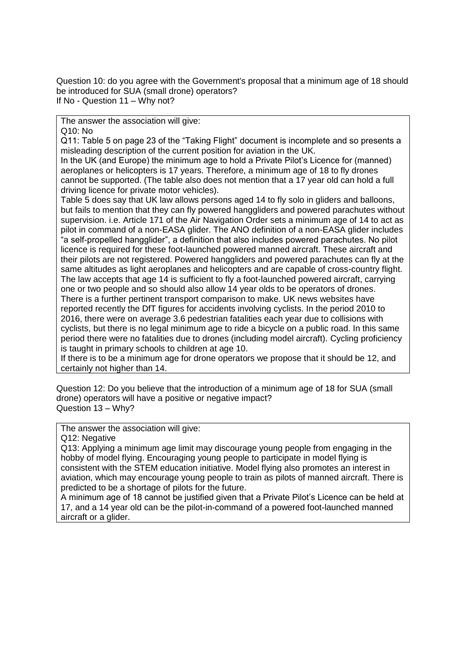Question 10: do you agree with the Government's proposal that a minimum age of 18 should be introduced for SUA (small drone) operators? If No - Question 11 – Why not?

The answer the association will give:

Q10: No

Q11: Table 5 on page 23 of the "Taking Flight" document is incomplete and so presents a misleading description of the current position for aviation in the UK.

In the UK (and Europe) the minimum age to hold a Private Pilot's Licence for (manned) aeroplanes or helicopters is 17 years. Therefore, a minimum age of 18 to fly drones cannot be supported. (The table also does not mention that a 17 year old can hold a full driving licence for private motor vehicles).

Table 5 does say that UK law allows persons aged 14 to fly solo in gliders and balloons, but fails to mention that they can fly powered hanggliders and powered parachutes without supervision. i.e. Article 171 of the Air Navigation Order sets a minimum age of 14 to act as pilot in command of a non-EASA glider. The ANO definition of a non-EASA glider includes "a self-propelled hangglider", a definition that also includes powered parachutes. No pilot licence is required for these foot-launched powered manned aircraft. These aircraft and their pilots are not registered. Powered hanggliders and powered parachutes can fly at the same altitudes as light aeroplanes and helicopters and are capable of cross-country flight. The law accepts that age 14 is sufficient to fly a foot-launched powered aircraft, carrying one or two people and so should also allow 14 year olds to be operators of drones. There is a further pertinent transport comparison to make. UK news websites have reported recently the DfT figures for accidents involving cyclists. In the period 2010 to 2016, there were on average 3.6 pedestrian fatalities each year due to collisions with cyclists, but there is no legal minimum age to ride a bicycle on a public road. In this same period there were no fatalities due to drones (including model aircraft). Cycling proficiency is taught in primary schools to children at age 10.

If there is to be a minimum age for drone operators we propose that it should be 12, and certainly not higher than 14.

Question 12: Do you believe that the introduction of a minimum age of 18 for SUA (small drone) operators will have a positive or negative impact? Question 13 – Why?

The answer the association will give:

Q12: Negative

Q13: Applying a minimum age limit may discourage young people from engaging in the hobby of model flying. Encouraging young people to participate in model flying is consistent with the STEM education initiative. Model flying also promotes an interest in aviation, which may encourage young people to train as pilots of manned aircraft. There is predicted to be a shortage of pilots for the future.

A minimum age of 18 cannot be justified given that a Private Pilot's Licence can be held at 17, and a 14 year old can be the pilot-in-command of a powered foot-launched manned aircraft or a glider.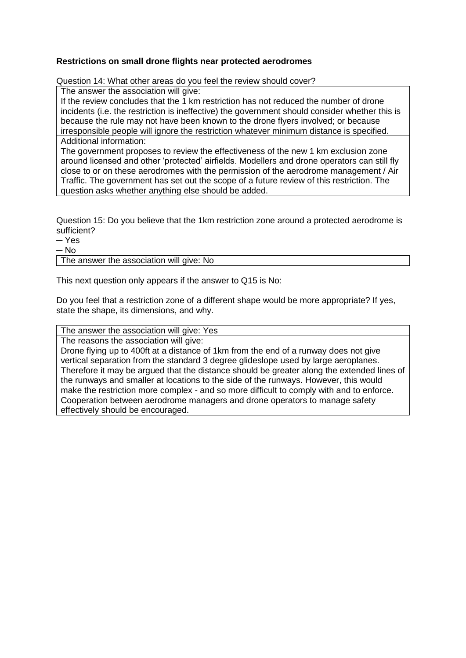### **Restrictions on small drone flights near protected aerodromes**

Question 14: What other areas do you feel the review should cover?

The answer the association will give:

If the review concludes that the 1 km restriction has not reduced the number of drone incidents (i.e. the restriction is ineffective) the government should consider whether this is because the rule may not have been known to the drone flyers involved; or because irresponsible people will ignore the restriction whatever minimum distance is specified. Additional information:

The government proposes to review the effectiveness of the new 1 km exclusion zone around licensed and other 'protected' airfields. Modellers and drone operators can still fly close to or on these aerodromes with the permission of the aerodrome management / Air Traffic. The government has set out the scope of a future review of this restriction. The question asks whether anything else should be added.

Question 15: Do you believe that the 1km restriction zone around a protected aerodrome is sufficient?

 $-$  Yes

 $-$  No

The answer the association will give: No

This next question only appears if the answer to Q15 is No:

Do you feel that a restriction zone of a different shape would be more appropriate? If yes, state the shape, its dimensions, and why.

The answer the association will give: Yes

The reasons the association will give:

Drone flying up to 400ft at a distance of 1km from the end of a runway does not give vertical separation from the standard 3 degree glideslope used by large aeroplanes. Therefore it may be argued that the distance should be greater along the extended lines of the runways and smaller at locations to the side of the runways. However, this would make the restriction more complex - and so more difficult to comply with and to enforce. Cooperation between aerodrome managers and drone operators to manage safety effectively should be encouraged.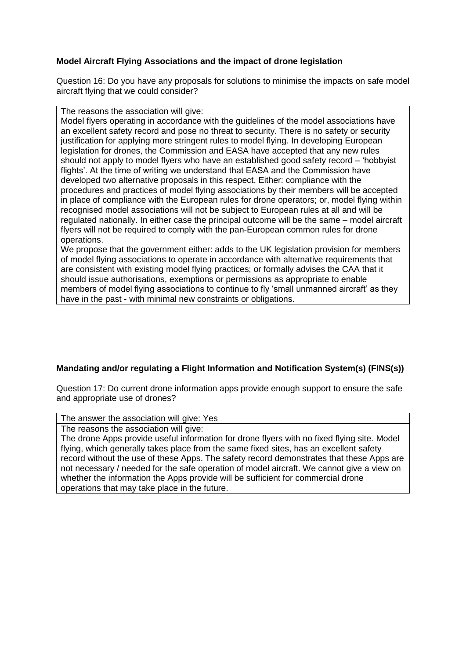### **Model Aircraft Flying Associations and the impact of drone legislation**

Question 16: Do you have any proposals for solutions to minimise the impacts on safe model aircraft flying that we could consider?

The reasons the association will give:

Model flyers operating in accordance with the guidelines of the model associations have an excellent safety record and pose no threat to security. There is no safety or security justification for applying more stringent rules to model flying. In developing European legislation for drones, the Commission and EASA have accepted that any new rules should not apply to model flyers who have an established good safety record – 'hobbyist flights'. At the time of writing we understand that EASA and the Commission have developed two alternative proposals in this respect. Either: compliance with the procedures and practices of model flying associations by their members will be accepted in place of compliance with the European rules for drone operators; or, model flying within recognised model associations will not be subject to European rules at all and will be regulated nationally. In either case the principal outcome will be the same – model aircraft flyers will not be required to comply with the pan-European common rules for drone operations.

We propose that the government either: adds to the UK legislation provision for members of model flying associations to operate in accordance with alternative requirements that are consistent with existing model flying practices; or formally advises the CAA that it should issue authorisations, exemptions or permissions as appropriate to enable members of model flying associations to continue to fly 'small unmanned aircraft' as they have in the past - with minimal new constraints or obligations.

# **Mandating and/or regulating a Flight Information and Notification System(s) (FINS(s))**

Question 17: Do current drone information apps provide enough support to ensure the safe and appropriate use of drones?

The answer the association will give: Yes

The reasons the association will give:

The drone Apps provide useful information for drone flyers with no fixed flying site. Model flying, which generally takes place from the same fixed sites, has an excellent safety record without the use of these Apps. The safety record demonstrates that these Apps are not necessary / needed for the safe operation of model aircraft. We cannot give a view on whether the information the Apps provide will be sufficient for commercial drone operations that may take place in the future.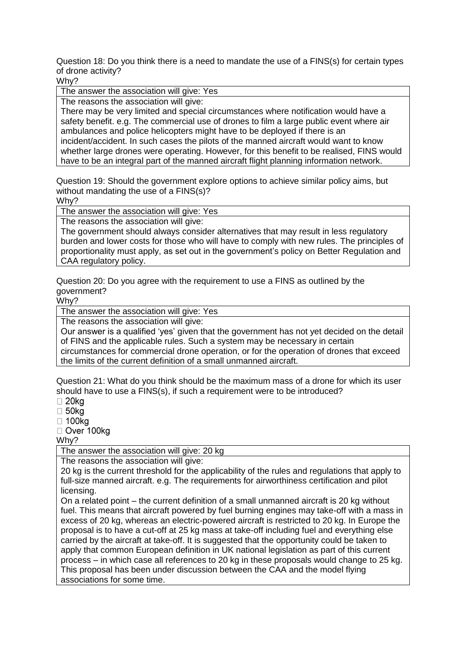Question 18: Do you think there is a need to mandate the use of a FINS(s) for certain types of drone activity?

Why?

The answer the association will give: Yes

The reasons the association will give:

There may be very limited and special circumstances where notification would have a safety benefit. e.g. The commercial use of drones to film a large public event where air ambulances and police helicopters might have to be deployed if there is an incident/accident. In such cases the pilots of the manned aircraft would want to know whether large drones were operating. However, for this benefit to be realised, FINS would have to be an integral part of the manned aircraft flight planning information network.

Question 19: Should the government explore options to achieve similar policy aims, but without mandating the use of a FINS(s)?

Why?

The answer the association will give: Yes

The reasons the association will give:

The government should always consider alternatives that may result in less regulatory burden and lower costs for those who will have to comply with new rules. The principles of proportionality must apply, as set out in the government's policy on Better Regulation and CAA regulatory policy.

Question 20: Do you agree with the requirement to use a FINS as outlined by the government?

Why?

The answer the association will give: Yes

The reasons the association will give:

Our answer is a qualified 'yes' given that the government has not yet decided on the detail of FINS and the applicable rules. Such a system may be necessary in certain circumstances for commercial drone operation, or for the operation of drones that exceed the limits of the current definition of a small unmanned aircraft.

Question 21: What do you think should be the maximum mass of a drone for which its user should have to use a FINS(s), if such a requirement were to be introduced?

 $\square$  20 $kg$ 

 $\Box$  50kg

 $\Box$  100 $ka$ 

□ Over 100kg

Why?

The answer the association will give: 20 kg

The reasons the association will give:

20 kg is the current threshold for the applicability of the rules and regulations that apply to full-size manned aircraft. e.g. The requirements for airworthiness certification and pilot licensing.

On a related point – the current definition of a small unmanned aircraft is 20 kg without fuel. This means that aircraft powered by fuel burning engines may take-off with a mass in excess of 20 kg, whereas an electric-powered aircraft is restricted to 20 kg. In Europe the proposal is to have a cut-off at 25 kg mass at take-off including fuel and everything else carried by the aircraft at take-off. It is suggested that the opportunity could be taken to apply that common European definition in UK national legislation as part of this current process – in which case all references to 20 kg in these proposals would change to 25 kg. This proposal has been under discussion between the CAA and the model flying associations for some time.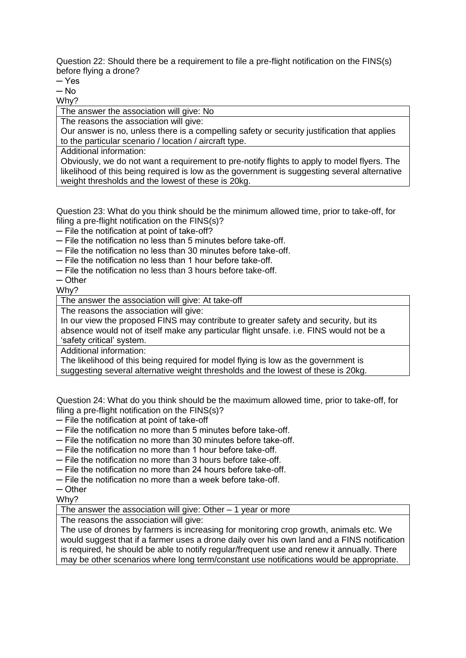Question 22: Should there be a requirement to file a pre-flight notification on the FINS(s) before flying a drone?

─ Yes

 $-$  No

Why?

The answer the association will give: No

The reasons the association will give:

Our answer is no, unless there is a compelling safety or security justification that applies to the particular scenario / location / aircraft type.

Additional information:

Obviously, we do not want a requirement to pre-notify flights to apply to model flyers. The likelihood of this being required is low as the government is suggesting several alternative weight thresholds and the lowest of these is 20kg.

Question 23: What do you think should be the minimum allowed time, prior to take-off, for filing a pre-flight notification on the FINS(s)?

─ File the notification at point of take-off?

- ─ File the notification no less than 5 minutes before take-off.
- ─ File the notification no less than 30 minutes before take-off.
- ─ File the notification no less than 1 hour before take-off.
- ─ File the notification no less than 3 hours before take-off.

─ Other

Why?

The answer the association will give: At take-off

The reasons the association will give:

In our view the proposed FINS may contribute to greater safety and security, but its absence would not of itself make any particular flight unsafe. i.e. FINS would not be a 'safety critical' system.

Additional information:

The likelihood of this being required for model flying is low as the government is suggesting several alternative weight thresholds and the lowest of these is 20kg.

Question 24: What do you think should be the maximum allowed time, prior to take-off, for filing a pre-flight notification on the FINS(s)?

─ File the notification at point of take-off

- ─ File the notification no more than 5 minutes before take-off.
- ─ File the notification no more than 30 minutes before take-off.
- ─ File the notification no more than 1 hour before take-off.
- ─ File the notification no more than 3 hours before take-off.
- ─ File the notification no more than 24 hours before take-off.
- ─ File the notification no more than a week before take-off.
- ─ Other

Why?

The answer the association will give: Other  $-1$  year or more

The reasons the association will give:

The use of drones by farmers is increasing for monitoring crop growth, animals etc. We would suggest that if a farmer uses a drone daily over his own land and a FINS notification is required, he should be able to notify regular/frequent use and renew it annually. There may be other scenarios where long term/constant use notifications would be appropriate.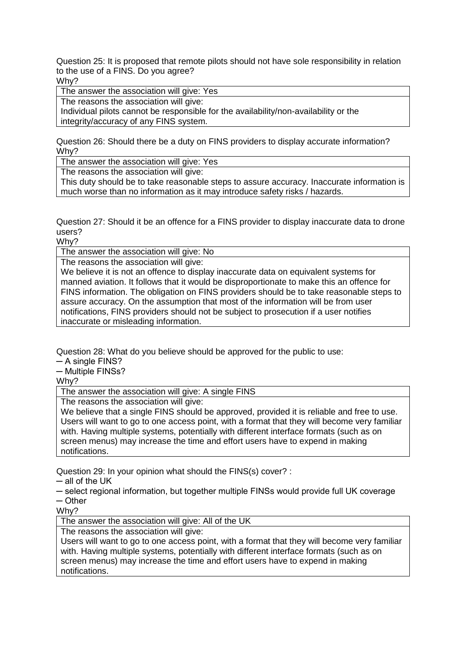Question 25: It is proposed that remote pilots should not have sole responsibility in relation to the use of a FINS. Do you agree? Why?

The answer the association will give: Yes

The reasons the association will give:

Individual pilots cannot be responsible for the availability/non-availability or the integrity/accuracy of any FINS system.

Question 26: Should there be a duty on FINS providers to display accurate information? Why?

The answer the association will give: Yes

The reasons the association will give:

This duty should be to take reasonable steps to assure accuracy. Inaccurate information is much worse than no information as it may introduce safety risks / hazards.

Question 27: Should it be an offence for a FINS provider to display inaccurate data to drone users?

Why?

The answer the association will give: No

The reasons the association will give:

We believe it is not an offence to display inaccurate data on equivalent systems for manned aviation. It follows that it would be disproportionate to make this an offence for FINS information. The obligation on FINS providers should be to take reasonable steps to assure accuracy. On the assumption that most of the information will be from user notifications, FINS providers should not be subject to prosecution if a user notifies inaccurate or misleading information.

Question 28: What do you believe should be approved for the public to use:

 $-$  A single FINS?

─ Multiple FINSs?

Why?

The answer the association will give: A single FINS

The reasons the association will give:

We believe that a single FINS should be approved, provided it is reliable and free to use. Users will want to go to one access point, with a format that they will become very familiar with. Having multiple systems, potentially with different interface formats (such as on screen menus) may increase the time and effort users have to expend in making notifications.

Question 29: In your opinion what should the FINS(s) cover? :

─ all of the UK

─ select regional information, but together multiple FINSs would provide full UK coverage

─ Other

Why?

The answer the association will give: All of the UK

The reasons the association will give:

Users will want to go to one access point, with a format that they will become very familiar with. Having multiple systems, potentially with different interface formats (such as on screen menus) may increase the time and effort users have to expend in making notifications.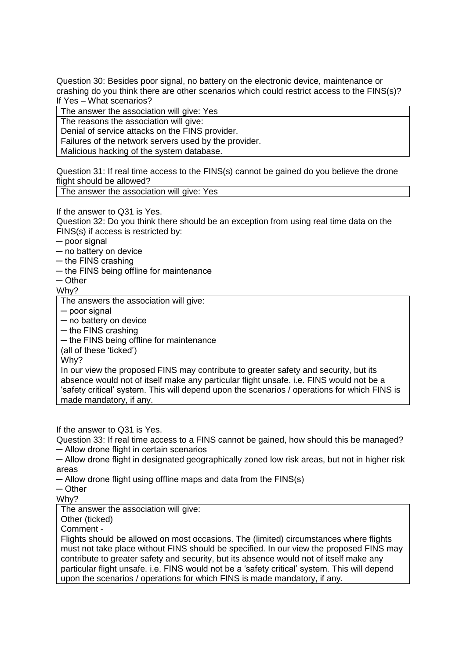Question 30: Besides poor signal, no battery on the electronic device, maintenance or crashing do you think there are other scenarios which could restrict access to the FINS(s)? If Yes – What scenarios?

The answer the association will give: Yes

The reasons the association will give:

Denial of service attacks on the FINS provider.

Failures of the network servers used by the provider.

Malicious hacking of the system database.

Question 31: If real time access to the FINS(s) cannot be gained do you believe the drone flight should be allowed?

The answer the association will give: Yes

If the answer to Q31 is Yes.

Question 32: Do you think there should be an exception from using real time data on the FINS(s) if access is restricted by:

─ poor signal

─ no battery on device

─ the FINS crashing

─ the FINS being offline for maintenance

 $-$  Other

Why?

The answers the association will give:

─ poor signal

─ no battery on device

─ the FINS crashing

─ the FINS being offline for maintenance

(all of these 'ticked')

Why?

In our view the proposed FINS may contribute to greater safety and security, but its absence would not of itself make any particular flight unsafe. i.e. FINS would not be a 'safety critical' system. This will depend upon the scenarios / operations for which FINS is made mandatory, if any.

If the answer to Q31 is Yes.

Question 33: If real time access to a FINS cannot be gained, how should this be managed? ─ Allow drone flight in certain scenarios

─ Allow drone flight in designated geographically zoned low risk areas, but not in higher risk areas

─ Allow drone flight using offline maps and data from the FINS(s)

─ Other

Why?

The answer the association will give:

Other (ticked)

Comment -

Flights should be allowed on most occasions. The (limited) circumstances where flights must not take place without FINS should be specified. In our view the proposed FINS may contribute to greater safety and security, but its absence would not of itself make any particular flight unsafe. i.e. FINS would not be a 'safety critical' system. This will depend upon the scenarios / operations for which FINS is made mandatory, if any.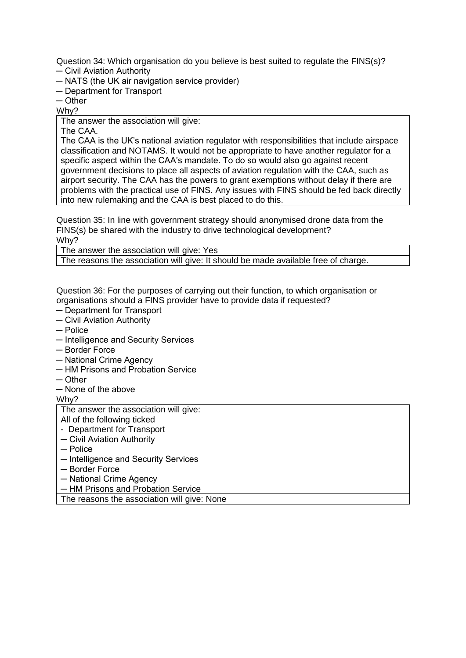Question 34: Which organisation do you believe is best suited to regulate the FINS(s)? ─ Civil Aviation Authority

- 
- ─ NATS (the UK air navigation service provider)
- ─ Department for Transport

 $-$  Other

Why?

The answer the association will give:

The CAA.

The CAA is the UK's national aviation regulator with responsibilities that include airspace classification and NOTAMS. It would not be appropriate to have another regulator for a specific aspect within the CAA's mandate. To do so would also go against recent government decisions to place all aspects of aviation regulation with the CAA, such as airport security. The CAA has the powers to grant exemptions without delay if there are problems with the practical use of FINS. Any issues with FINS should be fed back directly into new rulemaking and the CAA is best placed to do this.

Question 35: In line with government strategy should anonymised drone data from the FINS(s) be shared with the industry to drive technological development? Why?

The answer the association will give: Yes

The reasons the association will give: It should be made available free of charge.

Question 36: For the purposes of carrying out their function, to which organisation or organisations should a FINS provider have to provide data if requested?

- ─ Department for Transport
- ─ Civil Aviation Authority
- ─ Police
- ─ Intelligence and Security Services
- ─ Border Force
- ─ National Crime Agency
- ─ HM Prisons and Probation Service
- ─ Other
- ─ None of the above

Why?

The answer the association will give:

All of the following ticked

- Department for Transport
- ─ Civil Aviation Authority
- ─ Police
- ─ Intelligence and Security Services
- ─ Border Force
- ─ National Crime Agency
- ─ HM Prisons and Probation Service

The reasons the association will give: None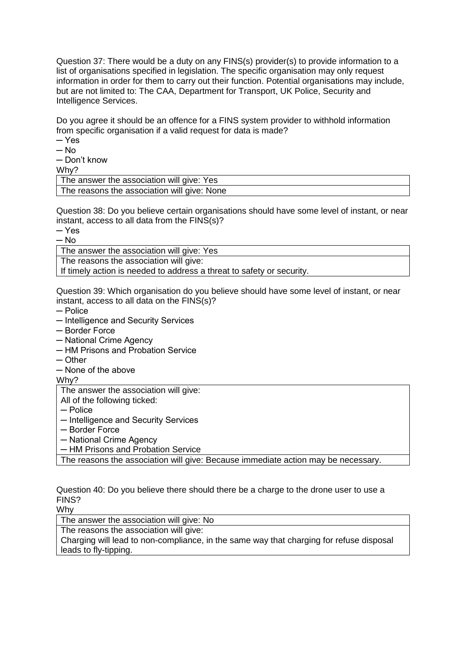Question 37: There would be a duty on any FINS(s) provider(s) to provide information to a list of organisations specified in legislation. The specific organisation may only request information in order for them to carry out their function. Potential organisations may include, but are not limited to: The CAA, Department for Transport, UK Police, Security and Intelligence Services.

Do you agree it should be an offence for a FINS system provider to withhold information from specific organisation if a valid request for data is made?

- $-$  Yes
- $-$  No
- ─ Don't know

Why?

| The answer the association will give: Yes   |  |
|---------------------------------------------|--|
| The reasons the association will give: None |  |

Question 38: Do you believe certain organisations should have some level of instant, or near instant, access to all data from the FINS(s)?

 $-$  Yes

 $-$  No

The answer the association will give: Yes

The reasons the association will give:

If timely action is needed to address a threat to safety or security.

Question 39: Which organisation do you believe should have some level of instant, or near instant, access to all data on the FINS(s)?

- ─ Police
- ─ Intelligence and Security Services
- ─ Border Force
- ─ National Crime Agency
- ─ HM Prisons and Probation Service
- ─ Other
- ─ None of the above

Why?

The answer the association will give:

All of the following ticked:

- ─ Police
- ─ Intelligence and Security Services
- ─ Border Force
- ─ National Crime Agency
- ─ HM Prisons and Probation Service

The reasons the association will give: Because immediate action may be necessary.

Question 40: Do you believe there should there be a charge to the drone user to use a FINS?

Why

The answer the association will give: No

The reasons the association will give:

Charging will lead to non-compliance, in the same way that charging for refuse disposal leads to fly-tipping.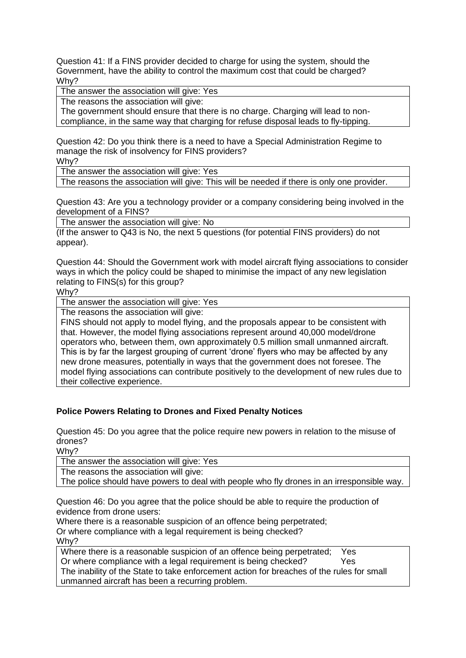Question 41: If a FINS provider decided to charge for using the system, should the Government, have the ability to control the maximum cost that could be charged? Why?

The answer the association will give: Yes

The reasons the association will give:

The government should ensure that there is no charge. Charging will lead to noncompliance, in the same way that charging for refuse disposal leads to fly-tipping.

Question 42: Do you think there is a need to have a Special Administration Regime to manage the risk of insolvency for FINS providers?

Why?

The answer the association will give: Yes

The reasons the association will give: This will be needed if there is only one provider.

Question 43: Are you a technology provider or a company considering being involved in the development of a FINS?

The answer the association will give: No

(If the answer to Q43 is No, the next 5 questions (for potential FINS providers) do not appear).

Question 44: Should the Government work with model aircraft flying associations to consider ways in which the policy could be shaped to minimise the impact of any new legislation relating to FINS(s) for this group?

Why?

The answer the association will give: Yes

The reasons the association will give:

FINS should not apply to model flying, and the proposals appear to be consistent with that. However, the model flying associations represent around 40,000 model/drone operators who, between them, own approximately 0.5 million small unmanned aircraft. This is by far the largest grouping of current 'drone' flyers who may be affected by any new drone measures, potentially in ways that the government does not foresee. The model flying associations can contribute positively to the development of new rules due to their collective experience.

### **Police Powers Relating to Drones and Fixed Penalty Notices**

Question 45: Do you agree that the police require new powers in relation to the misuse of drones?

Why?

The answer the association will give: Yes

The reasons the association will give:

The police should have powers to deal with people who fly drones in an irresponsible way.

Question 46: Do you agree that the police should be able to require the production of evidence from drone users:

Where there is a reasonable suspicion of an offence being perpetrated; Or where compliance with a legal requirement is being checked? Why?

Where there is a reasonable suspicion of an offence being perpetrated; Yes Or where compliance with a legal requirement is being checked? Yes The inability of the State to take enforcement action for breaches of the rules for small unmanned aircraft has been a recurring problem.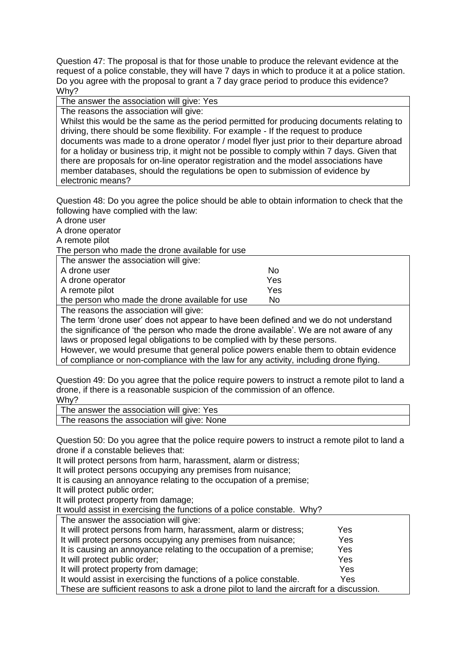Question 47: The proposal is that for those unable to produce the relevant evidence at the request of a police constable, they will have 7 days in which to produce it at a police station. Do you agree with the proposal to grant a 7 day grace period to produce this evidence? Why?

The answer the association will give: Yes

The reasons the association will give:

Whilst this would be the same as the period permitted for producing documents relating to driving, there should be some flexibility. For example - If the request to produce documents was made to a drone operator / model flyer just prior to their departure abroad for a holiday or business trip, it might not be possible to comply within 7 days. Given that there are proposals for on-line operator registration and the model associations have member databases, should the regulations be open to submission of evidence by electronic means?

Question 48: Do you agree the police should be able to obtain information to check that the following have complied with the law:

A drone user

A drone operator

A remote pilot

The person who made the drone available for use

| The answer the association will give:                                                                                                                                                                                               |           |
|-------------------------------------------------------------------------------------------------------------------------------------------------------------------------------------------------------------------------------------|-----------|
| A drone user                                                                                                                                                                                                                        | <b>No</b> |
| A drone operator                                                                                                                                                                                                                    | Yes       |
| A remote pilot                                                                                                                                                                                                                      | Yes       |
| the person who made the drone available for use                                                                                                                                                                                     | Nο        |
| .<br>and the company of the company of the company of the company of the company of the company of the company of the company of the company of the company of the company of the company of the company of the company of the comp |           |

The reasons the association will give:

The term 'drone user' does not appear to have been defined and we do not understand the significance of 'the person who made the drone available'. We are not aware of any laws or proposed legal obligations to be complied with by these persons. However, we would presume that general police powers enable them to obtain evidence

of compliance or non-compliance with the law for any activity, including drone flying.

Question 49: Do you agree that the police require powers to instruct a remote pilot to land a drone, if there is a reasonable suspicion of the commission of an offence. Why?

The answer the association will give: Yes

The reasons the association will give: None

Question 50: Do you agree that the police require powers to instruct a remote pilot to land a drone if a constable believes that:

It will protect persons from harm, harassment, alarm or distress;

It will protect persons occupying any premises from nuisance;

It is causing an annoyance relating to the occupation of a premise;

It will protect public order;

It will protect property from damage;

It would assist in exercising the functions of a police constable. Why?

The answer the association will give:

| It will protect persons from harm, harassment, alarm or distress;                        | Yes        |  |
|------------------------------------------------------------------------------------------|------------|--|
| It will protect persons occupying any premises from nuisance;                            | <b>Yes</b> |  |
| It is causing an annoyance relating to the occupation of a premise;                      | Yes        |  |
| It will protect public order;                                                            | Yes        |  |
| It will protect property from damage;                                                    | Yes        |  |
| It would assist in exercising the functions of a police constable.                       | Yes        |  |
| These are sufficient reasons to ask a drone pilot to land the aircraft for a discussion. |            |  |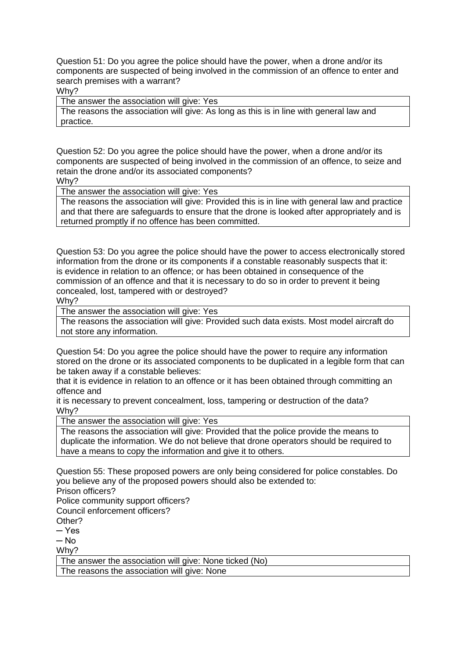Question 51: Do you agree the police should have the power, when a drone and/or its components are suspected of being involved in the commission of an offence to enter and search premises with a warrant?

Why?

The answer the association will give: Yes

The reasons the association will give: As long as this is in line with general law and practice.

Question 52: Do you agree the police should have the power, when a drone and/or its components are suspected of being involved in the commission of an offence, to seize and retain the drone and/or its associated components? Why?

The answer the association will give: Yes

The reasons the association will give: Provided this is in line with general law and practice and that there are safeguards to ensure that the drone is looked after appropriately and is returned promptly if no offence has been committed.

Question 53: Do you agree the police should have the power to access electronically stored information from the drone or its components if a constable reasonably suspects that it: is evidence in relation to an offence; or has been obtained in consequence of the commission of an offence and that it is necessary to do so in order to prevent it being concealed, lost, tampered with or destroyed? Why?

The answer the association will give: Yes

The reasons the association will give: Provided such data exists. Most model aircraft do not store any information.

Question 54: Do you agree the police should have the power to require any information stored on the drone or its associated components to be duplicated in a legible form that can be taken away if a constable believes:

that it is evidence in relation to an offence or it has been obtained through committing an offence and

it is necessary to prevent concealment, loss, tampering or destruction of the data? Why?

The answer the association will give: Yes

The reasons the association will give: Provided that the police provide the means to duplicate the information. We do not believe that drone operators should be required to have a means to copy the information and give it to others.

Question 55: These proposed powers are only being considered for police constables. Do you believe any of the proposed powers should also be extended to: Prison officers?

Police community support officers?

Council enforcement officers?

Other?

 $-$  Yes

 $-$  No

Why?

The answer the association will give: None ticked (No)

The reasons the association will give: None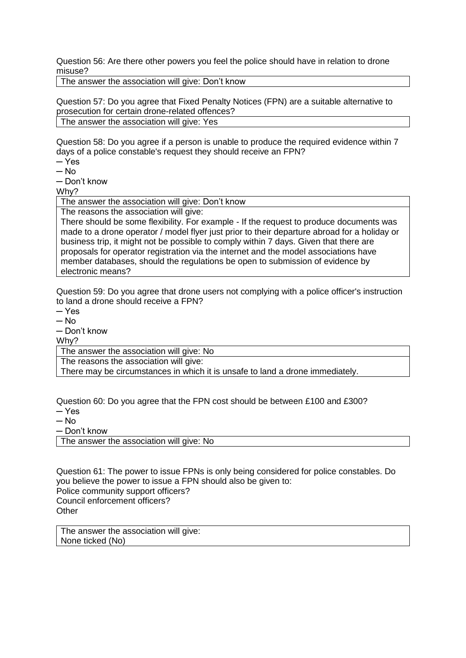Question 56: Are there other powers you feel the police should have in relation to drone misuse?

The answer the association will give: Don't know

Question 57: Do you agree that Fixed Penalty Notices (FPN) are a suitable alternative to prosecution for certain drone-related offences?

The answer the association will give: Yes

Question 58: Do you agree if a person is unable to produce the required evidence within 7 days of a police constable's request they should receive an FPN?

 $-$  Yes

 $-$  No

─ Don't know

Why?

The answer the association will give: Don't know

The reasons the association will give:

There should be some flexibility. For example - If the request to produce documents was made to a drone operator / model flyer just prior to their departure abroad for a holiday or business trip, it might not be possible to comply within 7 days. Given that there are proposals for operator registration via the internet and the model associations have member databases, should the regulations be open to submission of evidence by electronic means?

Question 59: Do you agree that drone users not complying with a police officer's instruction to land a drone should receive a FPN?

─ Yes

 $-$  No

─ Don't know

Why?

The answer the association will give: No

The reasons the association will give:

There may be circumstances in which it is unsafe to land a drone immediately.

Question 60: Do you agree that the FPN cost should be between £100 and £300?

 $-$  Yes

 $-$  No

─ Don't know

The answer the association will give: No

Question 61: The power to issue FPNs is only being considered for police constables. Do you believe the power to issue a FPN should also be given to: Police community support officers? Council enforcement officers? **Other** 

The answer the association will give: None ticked (No)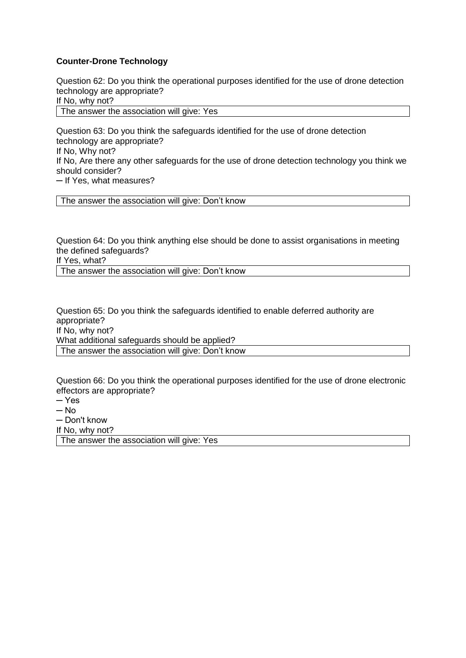### **Counter-Drone Technology**

Question 62: Do you think the operational purposes identified for the use of drone detection technology are appropriate?

If No, why not?

The answer the association will give: Yes

Question 63: Do you think the safeguards identified for the use of drone detection technology are appropriate? If No, Why not? If No, Are there any other safeguards for the use of drone detection technology you think we should consider? ─ If Yes, what measures?

The answer the association will give: Don't know

Question 64: Do you think anything else should be done to assist organisations in meeting the defined safeguards?

If Yes, what?

The answer the association will give: Don't know

Question 65: Do you think the safeguards identified to enable deferred authority are appropriate? If No, why not? What additional safeguards should be applied? The answer the association will give: Don't know

Question 66: Do you think the operational purposes identified for the use of drone electronic effectors are appropriate?

- ─ Yes
- $-$  No
- ─ Don't know
- If No, why not?

The answer the association will give: Yes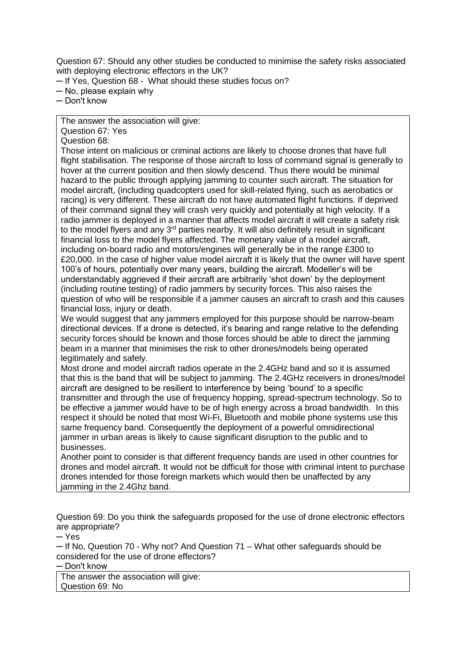Question 67: Should any other studies be conducted to minimise the safety risks associated with deploying electronic effectors in the UK?

- ─ If Yes, Question 68 What should these studies focus on?
- ─ No, please explain why

─ Don't know

The answer the association will give:

Question 67: Yes

Question 68:

Those intent on malicious or criminal actions are likely to choose drones that have full flight stabilisation. The response of those aircraft to loss of command signal is generally to hover at the current position and then slowly descend. Thus there would be minimal hazard to the public through applying jamming to counter such aircraft. The situation for model aircraft, (including quadcopters used for skill-related flying, such as aerobatics or racing) is very different. These aircraft do not have automated flight functions. If deprived of their command signal they will crash very quickly and potentially at high velocity. If a radio jammer is deployed in a manner that affects model aircraft it will create a safety risk to the model flyers and any 3<sup>rd</sup> parties nearby. It will also definitely result in significant financial loss to the model flyers affected. The monetary value of a model aircraft, including on-board radio and motors/engines will generally be in the range £300 to £20,000. In the case of higher value model aircraft it is likely that the owner will have spent 100's of hours, potentially over many years, building the aircraft. Modeller's will be understandably aggrieved if their aircraft are arbitrarily 'shot down' by the deployment (including routine testing) of radio jammers by security forces. This also raises the question of who will be responsible if a jammer causes an aircraft to crash and this causes financial loss, injury or death.

We would suggest that any jammers employed for this purpose should be narrow-beam directional devices. If a drone is detected, it's bearing and range relative to the defending security forces should be known and those forces should be able to direct the jamming beam in a manner that minimises the risk to other drones/models being operated legitimately and safely.

Most drone and model aircraft radios operate in the 2.4GHz band and so it is assumed that this is the band that will be subject to jamming. The 2.4GHz receivers in drones/model aircraft are designed to be resilient to interference by being 'bound' to a specific transmitter and through the use of frequency hopping, spread-spectrum technology. So to be effective a jammer would have to be of high energy across a broad bandwidth. In this respect it should be noted that most Wi-Fi, Bluetooth and mobile phone systems use this same frequency band. Consequently the deployment of a powerful omnidirectional jammer in urban areas is likely to cause significant disruption to the public and to businesses.

Another point to consider is that different frequency bands are used in other countries for drones and model aircraft. It would not be difficult for those with criminal intent to purchase drones intended for those foreign markets which would then be unaffected by any jamming in the 2.4Ghz band.

Question 69: Do you think the safeguards proposed for the use of drone electronic effectors are appropriate?

 $-$  Yes

─ If No, Question 70 - Why not? And Question 71 – What other safeguards should be considered for the use of drone effectors?

─ Don't know

The answer the association will give: Question 69: No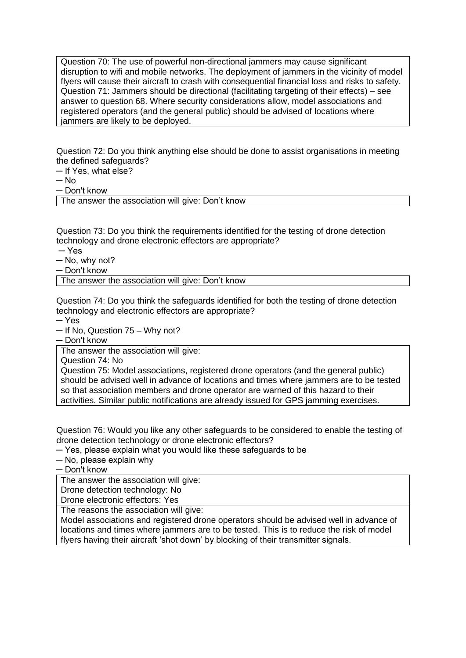Question 70: The use of powerful non-directional jammers may cause significant disruption to wifi and mobile networks. The deployment of jammers in the vicinity of model flyers will cause their aircraft to crash with consequential financial loss and risks to safety. Question 71: Jammers should be directional (facilitating targeting of their effects) – see answer to question 68. Where security considerations allow, model associations and registered operators (and the general public) should be advised of locations where jammers are likely to be deployed.

Question 72: Do you think anything else should be done to assist organisations in meeting the defined safeguards?

- ─ If Yes, what else?
- $-$  No

─ Don't know

The answer the association will give: Don't know

Question 73: Do you think the requirements identified for the testing of drone detection technology and drone electronic effectors are appropriate?

 $-$  Yes

 $-$  No, why not?

─ Don't know

The answer the association will give: Don't know

Question 74: Do you think the safeguards identified for both the testing of drone detection technology and electronic effectors are appropriate?

─ Yes

─ If No, Question 75 – Why not?

─ Don't know

The answer the association will give:

Question 74: No

Question 75: Model associations, registered drone operators (and the general public) should be advised well in advance of locations and times where jammers are to be tested so that association members and drone operator are warned of this hazard to their activities. Similar public notifications are already issued for GPS jamming exercises.

Question 76: Would you like any other safeguards to be considered to enable the testing of drone detection technology or drone electronic effectors?

─ Yes, please explain what you would like these safeguards to be

─ No, please explain why

─ Don't know

The answer the association will give:

Drone detection technology: No

Drone electronic effectors: Yes

The reasons the association will give:

Model associations and registered drone operators should be advised well in advance of locations and times where jammers are to be tested. This is to reduce the risk of model flyers having their aircraft 'shot down' by blocking of their transmitter signals.